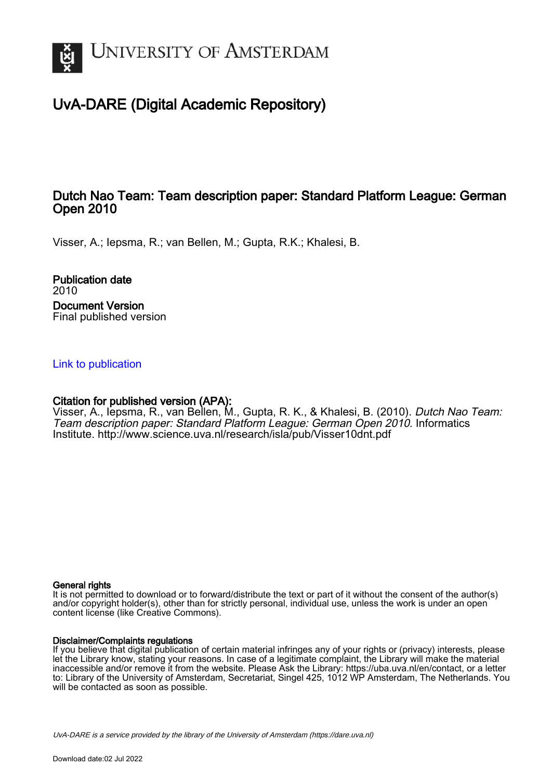

# UvA-DARE (Digital Academic Repository)

### Dutch Nao Team: Team description paper: Standard Platform League: German Open 2010

Visser, A.; Iepsma, R.; van Bellen, M.; Gupta, R.K.; Khalesi, B.

Publication date 2010 Document Version Final published version

[Link to publication](https://dare.uva.nl/personal/pure/en/publications/dutch-nao-team-team-description-paper-standard-platform-league-german-open-2010(7ff02a90-6eab-4784-97ed-402af99a1242).html)

#### Citation for published version (APA):

Visser, A., Iepsma, R., van Bellen, M., Gupta, R. K., & Khalesi, B. (2010). Dutch Nao Team: Team description paper: Standard Platform League: German Open 2010. Informatics Institute. <http://www.science.uva.nl/research/isla/pub/Visser10dnt.pdf>

#### General rights

It is not permitted to download or to forward/distribute the text or part of it without the consent of the author(s) and/or copyright holder(s), other than for strictly personal, individual use, unless the work is under an open content license (like Creative Commons).

#### Disclaimer/Complaints regulations

If you believe that digital publication of certain material infringes any of your rights or (privacy) interests, please let the Library know, stating your reasons. In case of a legitimate complaint, the Library will make the material inaccessible and/or remove it from the website. Please Ask the Library: https://uba.uva.nl/en/contact, or a letter to: Library of the University of Amsterdam, Secretariat, Singel 425, 1012 WP Amsterdam, The Netherlands. You will be contacted as soon as possible.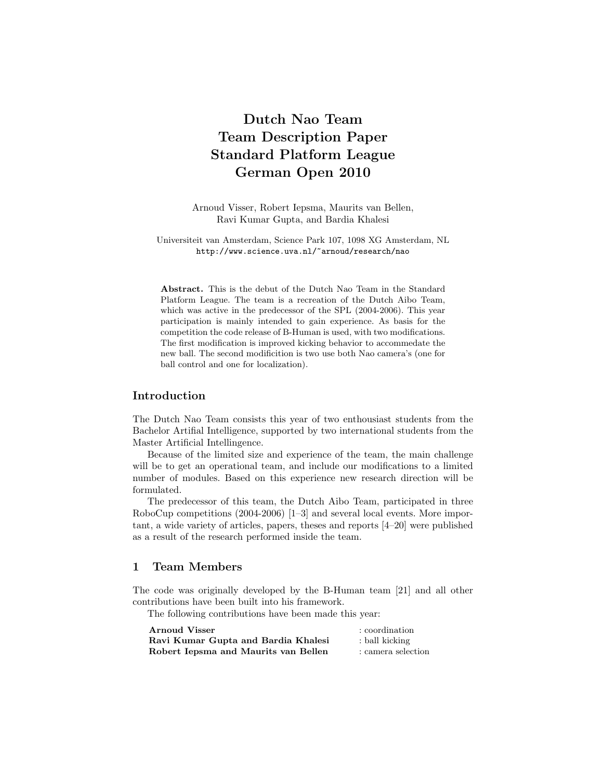## Dutch Nao Team Team Description Paper Standard Platform League German Open 2010

Arnoud Visser, Robert Iepsma, Maurits van Bellen, Ravi Kumar Gupta, and Bardia Khalesi

Universiteit van Amsterdam, Science Park 107, 1098 XG Amsterdam, NL http://www.science.uva.nl/~arnoud/research/nao

Abstract. This is the debut of the Dutch Nao Team in the Standard Platform League. The team is a recreation of the Dutch Aibo Team, which was active in the predecessor of the SPL (2004-2006). This year participation is mainly intended to gain experience. As basis for the competition the code release of B-Human is used, with two modifications. The first modification is improved kicking behavior to accommedate the new ball. The second modificition is two use both Nao camera's (one for ball control and one for localization).

#### Introduction

The Dutch Nao Team consists this year of two enthousiast students from the Bachelor Artifial Intelligence, supported by two international students from the Master Artificial Intellingence.

Because of the limited size and experience of the team, the main challenge will be to get an operational team, and include our modifications to a limited number of modules. Based on this experience new research direction will be formulated.

The predecessor of this team, the Dutch Aibo Team, participated in three RoboCup competitions (2004-2006) [1–3] and several local events. More important, a wide variety of articles, papers, theses and reports [4–20] were published as a result of the research performed inside the team.

#### 1 Team Members

The code was originally developed by the B-Human team [21] and all other contributions have been built into his framework.

The following contributions have been made this year:

| Arnoud Visser                        | : coordination     |
|--------------------------------------|--------------------|
| Ravi Kumar Gupta and Bardia Khalesi  | : ball kicking     |
| Robert Iepsma and Maurits van Bellen | : camera selection |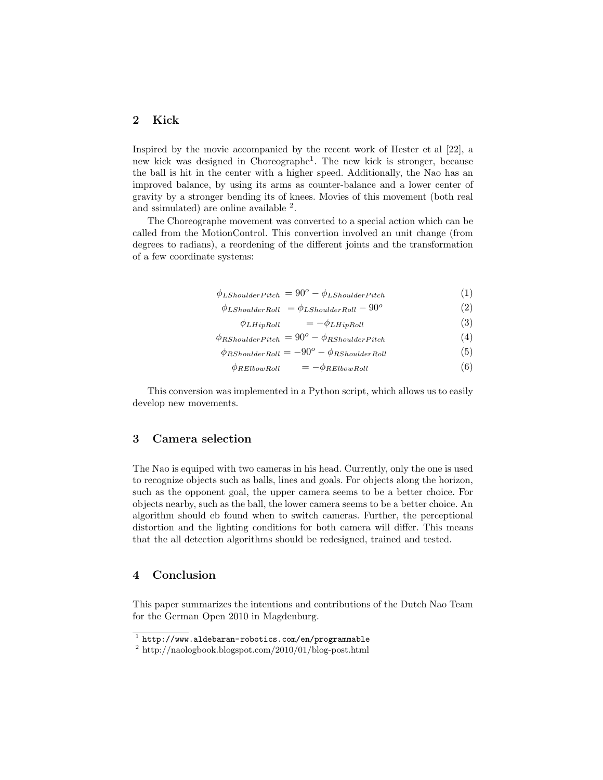#### 2 Kick

Inspired by the movie accompanied by the recent work of Hester et al [22], a new kick was designed in Choreographe<sup>1</sup> . The new kick is stronger, because the ball is hit in the center with a higher speed. Additionally, the Nao has an improved balance, by using its arms as counter-balance and a lower center of gravity by a stronger bending its of knees. Movies of this movement (both real and ssimulated) are online available <sup>2</sup>.

The Choreographe movement was converted to a special action which can be called from the MotionControl. This convertion involved an unit change (from degrees to radians), a reordening of the different joints and the transformation of a few coordinate systems:

$$
\phi_{LShoulderPitch} = 90^o - \phi_{LShoulderPitch}
$$
\n(1)

 $\phi_{LShoulderRoll} = \phi_{LShoulderRoll} - 90^o$ (2)

 $\phi_{LHipRoll} = -\phi_{LHipRoll}$  (3)

$$
\phi_{RShoulderPitch} = 90^o - \phi_{RShoulderPitch} \tag{4}
$$

 $\phi_{RShoulderRoll} = -90^o - \phi_{RShoulderRoll}$  (5)

 $\phi_{RElbowRoll} = -\phi_{RElbowRoll}$  (6)

This conversion was implemented in a Python script, which allows us to easily develop new movements.

#### 3 Camera selection

The Nao is equiped with two cameras in his head. Currently, only the one is used to recognize objects such as balls, lines and goals. For objects along the horizon, such as the opponent goal, the upper camera seems to be a better choice. For objects nearby, such as the ball, the lower camera seems to be a better choice. An algorithm should eb found when to switch cameras. Further, the perceptional distortion and the lighting conditions for both camera will differ. This means that the all detection algorithms should be redesigned, trained and tested.

#### 4 Conclusion

This paper summarizes the intentions and contributions of the Dutch Nao Team for the German Open 2010 in Magdenburg.

 $^1$  http://www.aldebaran-robotics.com/en/programmable

 $\frac{2 \text{ http://naologbook.blogspot.com/2010/01/blog-post.html}}{2 \text{ http://naologbook.blogspot.com/2010/01/blog-post.html}}$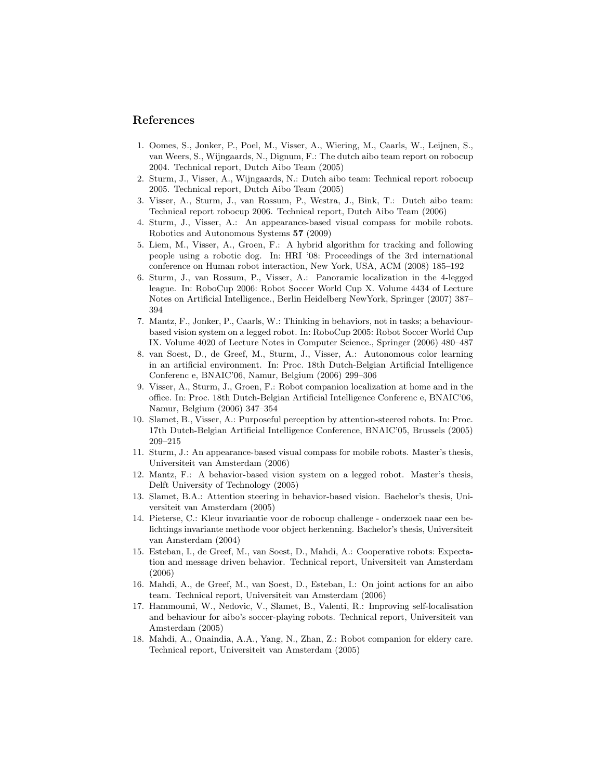#### References

- 1. Oomes, S., Jonker, P., Poel, M., Visser, A., Wiering, M., Caarls, W., Leijnen, S., van Weers, S., Wijngaards, N., Dignum, F.: The dutch aibo team report on robocup 2004. Technical report, Dutch Aibo Team (2005)
- 2. Sturm, J., Visser, A., Wijngaards, N.: Dutch aibo team: Technical report robocup 2005. Technical report, Dutch Aibo Team (2005)
- 3. Visser, A., Sturm, J., van Rossum, P., Westra, J., Bink, T.: Dutch aibo team: Technical report robocup 2006. Technical report, Dutch Aibo Team (2006)
- 4. Sturm, J., Visser, A.: An appearance-based visual compass for mobile robots. Robotics and Autonomous Systems 57 (2009)
- 5. Liem, M., Visser, A., Groen, F.: A hybrid algorithm for tracking and following people using a robotic dog. In: HRI '08: Proceedings of the 3rd international conference on Human robot interaction, New York, USA, ACM (2008) 185–192
- 6. Sturm, J., van Rossum, P., Visser, A.: Panoramic localization in the 4-legged league. In: RoboCup 2006: Robot Soccer World Cup X. Volume 4434 of Lecture Notes on Artificial Intelligence., Berlin Heidelberg NewYork, Springer (2007) 387– 394
- 7. Mantz, F., Jonker, P., Caarls, W.: Thinking in behaviors, not in tasks; a behaviourbased vision system on a legged robot. In: RoboCup 2005: Robot Soccer World Cup IX. Volume 4020 of Lecture Notes in Computer Science., Springer (2006) 480–487
- 8. van Soest, D., de Greef, M., Sturm, J., Visser, A.: Autonomous color learning in an artificial environment. In: Proc. 18th Dutch-Belgian Artificial Intelligence Conferenc e, BNAIC'06, Namur, Belgium (2006) 299–306
- 9. Visser, A., Sturm, J., Groen, F.: Robot companion localization at home and in the office. In: Proc. 18th Dutch-Belgian Artificial Intelligence Conferenc e, BNAIC'06, Namur, Belgium (2006) 347–354
- 10. Slamet, B., Visser, A.: Purposeful perception by attention-steered robots. In: Proc. 17th Dutch-Belgian Artificial Intelligence Conference, BNAIC'05, Brussels (2005) 209–215
- 11. Sturm, J.: An appearance-based visual compass for mobile robots. Master's thesis, Universiteit van Amsterdam (2006)
- 12. Mantz, F.: A behavior-based vision system on a legged robot. Master's thesis, Delft University of Technology (2005)
- 13. Slamet, B.A.: Attention steering in behavior-based vision. Bachelor's thesis, Universiteit van Amsterdam (2005)
- 14. Pieterse, C.: Kleur invariantie voor de robocup challenge onderzoek naar een belichtings invariante methode voor object herkenning. Bachelor's thesis, Universiteit van Amsterdam (2004)
- 15. Esteban, I., de Greef, M., van Soest, D., Mahdi, A.: Cooperative robots: Expectation and message driven behavior. Technical report, Universiteit van Amsterdam (2006)
- 16. Mahdi, A., de Greef, M., van Soest, D., Esteban, I.: On joint actions for an aibo team. Technical report, Universiteit van Amsterdam (2006)
- 17. Hammoumi, W., Nedovic, V., Slamet, B., Valenti, R.: Improving self-localisation and behaviour for aibo's soccer-playing robots. Technical report, Universiteit van Amsterdam (2005)
- 18. Mahdi, A., Onaindia, A.A., Yang, N., Zhan, Z.: Robot companion for eldery care. Technical report, Universiteit van Amsterdam (2005)